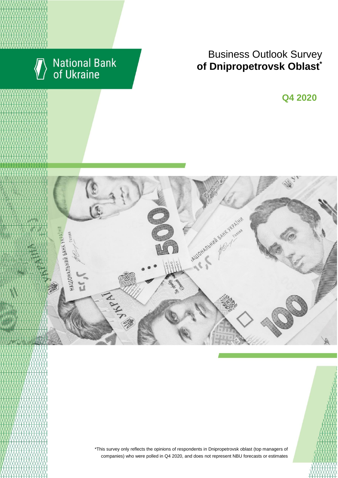

# Business Outlook Survey **of Dnipropetrovsk Oblast**\*

**Q4 2020**



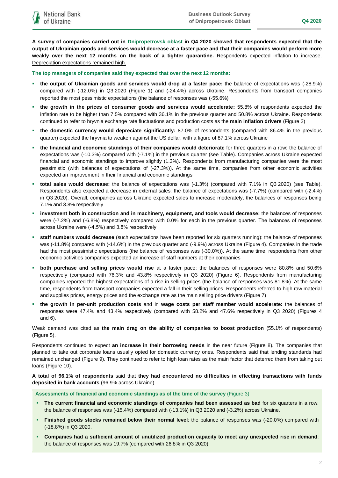**A survey of companies carried out in Dnipropetrovsk oblast in Q4 2020 showed that respondents expected that the output of Ukrainian goods and services would decrease at a faster pace and that their companies would perform more weakly over the next 12 months on the back of a tighter quarantine.** Respondents expected inflation to increase. Depreciation expectations remained high.

**The top managers of companies said they expected that over the next 12 months:**

- **the output of Ukrainian goods and services would drop at a faster pace:** the balance of expectations was (-28.9%) compared with (-12.0%) in Q3 2020 (Figure 1) and (-24.4%) across Ukraine. Respondents from transport companies reported the most pessimistic expectations (the balance of responses was (-55.6%)
- **the growth in the prices of consumer goods and services would accelerate:** 55.8% of respondents expected the inflation rate to be higher than 7.5% compared with 36.1% in the previous quarter and 50.8% across Ukraine. Respondents continued to refer to hryvnia exchange rate fluctuations and production costs as the **main inflation drivers** (Figure 2)
- **the domestic currency would depreciate significantly:** 87.0% of respondents (compared with 86.4% in the previous quarter) expected the hryvnia to weaken against the US dollar, with a figure of 87.1% across Ukraine
- **the financial and economic standings of their companies would deteriorate** for three quarters in a row: the balance of expectations was (-10.3%) compared with (-7.1%) in the previous quarter (see Table). Companies across Ukraine expected financial and economic standings to improve slightly (1.3%). Respondents from manufacturing companies were the most pessimistic (with balances of expectations of (-27.3%)). At the same time, companies from other economic activities expected an improvement in their financial and economic standings
- **total sales would decrease:** the balance of expectations was (-1.3%) (compared with 7.1% in Q3 2020) (see Table). Respondents also expected a decrease in external sales: the balance of expectations was (-7.7%) (compared with (-2.4%) in Q3 2020). Overall, companies across Ukraine expected sales to increase moderately, the balances of responses being 7.1% and 3.8% respectively
- **investment both in construction and in machinery, equipment, and tools would decrease:** the balances of responses were (-7.2%) and (-6.8%) respectively compared with 0.0% for each in the previous quarter. The balances of responses across Ukraine were (-4.5%) and 3.8% respectively
- **staff numbers would decrease** (such expectations have been reported for six quarters running): the balance of responses was (-11.8%) compared with (-14.6%) in the previous quarter and (-9.9%) across Ukraine (Figure 4). Companies in the trade had the most pessimistic expectations (the balance of responses was (-30.0%)). At the same time, respondents from other economic activities companies expected an increase of staff numbers at their companies
- **both purchase and selling prices would rise** at a faster pace: the balances of responses were 80.8% and 50.6% respectively (compared with 76.3% and 43.8% respectively in Q3 2020) (Figure 6). Respondents from manufacturing companies reported the highest expectations of a rise in selling prices (the balance of responses was 81.8%). At the same time, respondents from transport companies expected a fall in their selling prices. Respondents referred to high raw material and supplies prices, energy prices and the exchange rate as the main selling price drivers (Figure 7)
- **the growth in per-unit production costs** and in **wage costs per staff member would accelerate:** the balances of responses were 47.4% and 43.4% respectively (compared with 58.2% and 47.6% respectively in Q3 2020) (Figures 4 and 6).

Weak demand was cited as **the main drag on the ability of companies to boost production** (55.1% of respondents) (Figure 5).

Respondents continued to expect **an increase in their borrowing needs** in the near future (Figure 8). The companies that planned to take out corporate loans usually opted for domestic currency ones. Respondents said that lending standards had remained unchanged (Figure 9). They continued to refer to high loan rates as the main factor that deterred them from taking out loans (Figure 10).

**A total of 96.1% of respondents** said that **they had encountered no difficulties in effecting transactions with funds deposited in bank accounts** (96.9% across Ukraine).

**Assessments of financial and economic standings as of the time of the survey** (Figure 3)

- **The current financial and economic standings of companies had been assessed as bad** for six quarters in a row: the balance of responses was (-15.4%) compared with (-13.1%) in Q3 2020 and (-3.2%) across Ukraine.
- **Finished goods stocks remained below their normal level**: the balance of responses was (-20.0%) compared with (-18.8%) in Q3 2020.
- **Companies had a sufficient amount of unutilized production capacity to meet any unexpected rise in demand**: the balance of responses was 19.7% (compared with 26.8% in Q3 2020).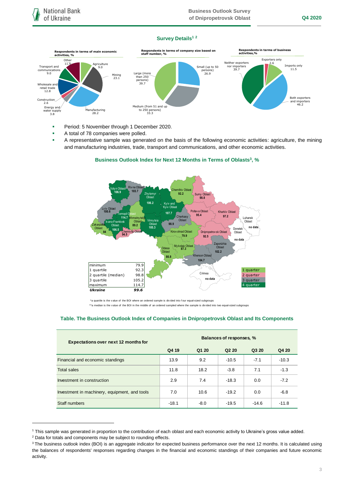### **Survey Details<sup>1</sup> <sup>2</sup>**



- **Period: 5 November through 1 December 2020.**
- A total of 78 companies were polled.
- A representative sample was generated on the basis of the following economic activities: agriculture, the mining and manufacturing industries, trade, transport and communications, and other economic activities.



## **Business Outlook Index for Next 12 Months in Terms of Oblasts<sup>3</sup> , % Business outlook index for next 12 months in terms of regions,%**

#### **Table. The Business Outlook Index of Companies in Dnipropetrovsk Oblast and Its Components**

| <b>Expectations over next 12 months for</b>   | Balances of responses, % |        |                               |         |         |
|-----------------------------------------------|--------------------------|--------|-------------------------------|---------|---------|
|                                               | Q4 19                    | Q1 20  | Q <sub>2</sub> 2 <sub>0</sub> | Q3 20   | Q4 20   |
| Financial and economic standings              | 13.9                     | 9.2    | $-10.5$                       | $-7.1$  | $-10.3$ |
| <b>Total sales</b>                            | 11.8                     | 18.2   | $-3.8$                        | 7.1     | $-1.3$  |
| Investment in construction                    | 2.9                      | 7.4    | $-18.3$                       | 0.0     | $-7.2$  |
| Investment in machinery, equipment, and tools | 7.0                      | 10.6   | $-19.2$                       | 0.0     | $-6.8$  |
| Staff numbers                                 | $-18.1$                  | $-8.0$ | $-19.5$                       | $-14.6$ | $-11.8$ |

<sup>1</sup> This sample was generated in proportion to the contribution of each oblast and each economic activity to Ukraine's gross value added.

1

<sup>&</sup>lt;sup>2</sup> Data for totals and components may be subject to rounding effects.

<sup>&</sup>lt;sup>3</sup> The business outlook index (BOI) is an aggregate indicator for expected business performance over the next 12 months. It is calculated using the balances of respondents' responses regarding changes in the financial and economic standings of their companies and future economic activity.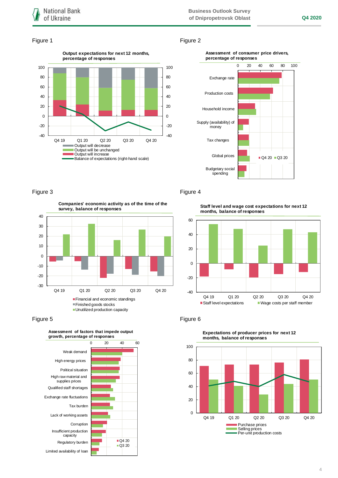### Figure 1 Figure 2



#### **Assessment of consumer price drivers, percentage of responses**



**Companies' economic activity as of the time of the survey, balance of responses**



Figure 5 **Figure 6** 



### Figure 3 Figure 4

**Staff level and wage cost expectations for next 12 months, balance of responses**





**Expectations of producer prices for next 12 months, balance of responses**